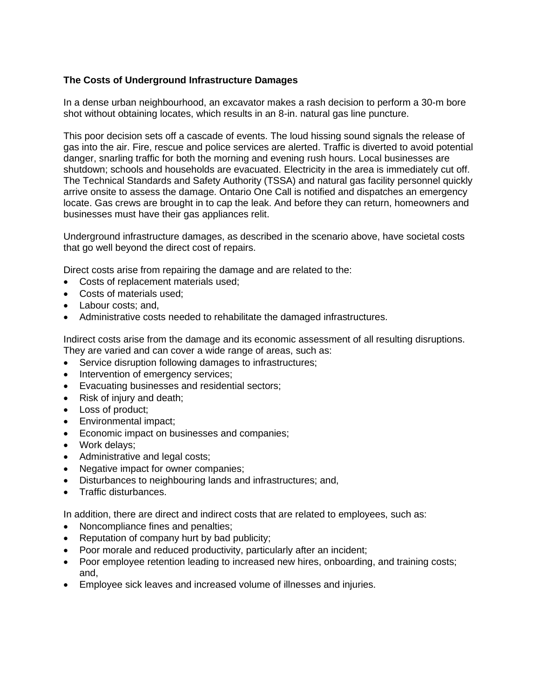## **The Costs of Underground Infrastructure Damages**

In a dense urban neighbourhood, an excavator makes a rash decision to perform a 30-m bore shot without obtaining locates, which results in an 8-in. natural gas line puncture.

This poor decision sets off a cascade of events. The loud hissing sound signals the release of gas into the air. Fire, rescue and police services are alerted. Traffic is diverted to avoid potential danger, snarling traffic for both the morning and evening rush hours. Local businesses are shutdown; schools and households are evacuated. Electricity in the area is immediately cut off. The Technical Standards and Safety Authority (TSSA) and natural gas facility personnel quickly arrive onsite to assess the damage. Ontario One Call is notified and dispatches an emergency locate. Gas crews are brought in to cap the leak. And before they can return, homeowners and businesses must have their gas appliances relit.

Underground infrastructure damages, as described in the scenario above, have societal costs that go well beyond the direct cost of repairs.

Direct costs arise from repairing the damage and are related to the:

- Costs of replacement materials used;
- Costs of materials used;
- Labour costs: and,
- Administrative costs needed to rehabilitate the damaged infrastructures.

Indirect costs arise from the damage and its economic assessment of all resulting disruptions. They are varied and can cover a wide range of areas, such as:

- Service disruption following damages to infrastructures;
- Intervention of emergency services;
- Evacuating businesses and residential sectors;
- Risk of injury and death;
- Loss of product;
- Environmental impact;
- Economic impact on businesses and companies;
- Work delays;
- Administrative and legal costs;
- Negative impact for owner companies;
- Disturbances to neighbouring lands and infrastructures; and,
- Traffic disturbances.

In addition, there are direct and indirect costs that are related to employees, such as:

- Noncompliance fines and penalties;
- Reputation of company hurt by bad publicity;
- Poor morale and reduced productivity, particularly after an incident;
- Poor employee retention leading to increased new hires, onboarding, and training costs; and,
- Employee sick leaves and increased volume of illnesses and injuries.